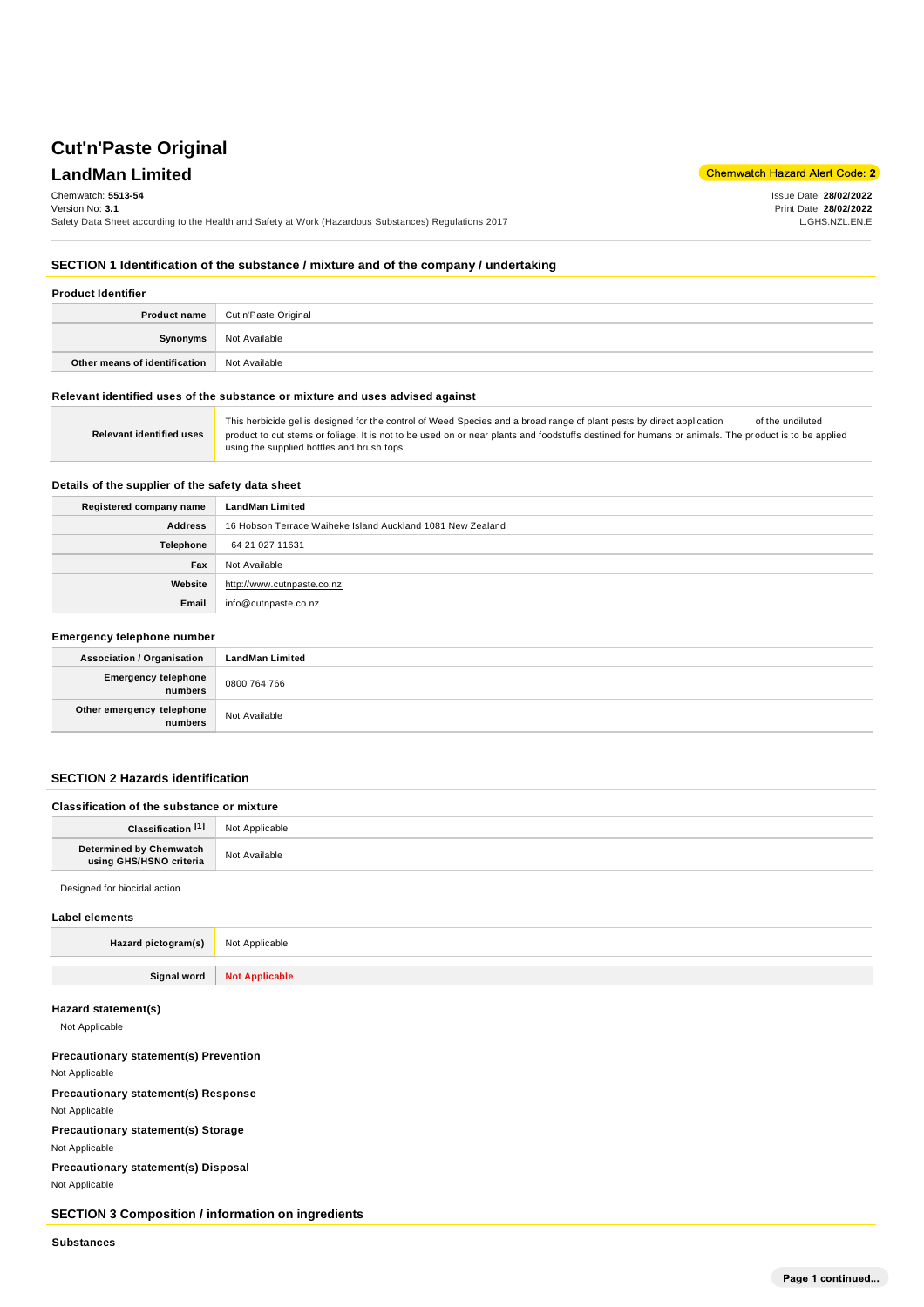# **Cut'n'Paste Original**

# **LandMan Limited**

Chemwatch Hazard Alert Code: 2

Issue Date: **28/02/2022** Print Date: **28/02/2022** L.GHS.NZL.EN.E

#### Chemwatch: **5513-54**

Version No: **3.1**

Safety Data Sheet according to the Health and Safety at Work (Hazardous Substances) Regulations 2017

**SECTION 1 Identification of the substance / mixture and of the company / undertaking**

| <b>Product Identifier</b>     |                      |
|-------------------------------|----------------------|
| Product name                  | Cut'n'Paste Original |
| Synonyms                      | Not Available        |
| Other means of identification | Not Available        |

#### **Relevant identified uses of the substance or mixture and uses advised against**

| Relevant identified uses | This herbicide gel is designed for the control of Weed Species and a broad range of plant pests by direct application<br>of the undiluted<br>product to cut stems or foliage. It is not to be used on or near plants and foodstuffs destined for humans or animals. The product is to be applied<br>using the supplied bottles and brush tops. |
|--------------------------|------------------------------------------------------------------------------------------------------------------------------------------------------------------------------------------------------------------------------------------------------------------------------------------------------------------------------------------------|
|--------------------------|------------------------------------------------------------------------------------------------------------------------------------------------------------------------------------------------------------------------------------------------------------------------------------------------------------------------------------------------|

#### **Details of the supplier of the safety data sheet**

| Registered company name | <b>LandMan Limited</b>                                     |
|-------------------------|------------------------------------------------------------|
| <b>Address</b>          | 16 Hobson Terrace Waiheke Island Auckland 1081 New Zealand |
| Telephone               | +64 21 027 11631                                           |
| Fax                     | Not Available                                              |
| Website                 | http://www.cutnpaste.co.nz                                 |
| Email                   | info@cutnpaste.co.nz                                       |

### **Emergency telephone number Association / Organisation LandMan Limited Emergency telephone numbers** 0800 764 766 **Other emergency telephone numbers** Not Available

#### **SECTION 2 Hazards identification**

| Classification of the substance or mixture         |                |
|----------------------------------------------------|----------------|
| Classification <sup>[1]</sup>                      | Not Applicable |
| Determined by Chemwatch<br>using GHS/HSNO criteria | Not Available  |
| Designed for biocidal action                       |                |

#### **Label elements**

| LUDUL CIUIIUILO     |                              |  |
|---------------------|------------------------------|--|
| Hazard pictogram(s) | Not Applicable               |  |
|                     |                              |  |
|                     | Signal word   Not Applicable |  |

#### **Hazard statement(s)**

Not Applicable

#### **Precautionary statement(s) Prevention**

Not Applicable

**Precautionary statement(s) Response**

Not Applicable

**Precautionary statement(s) Storage** Not Applicable

**Precautionary statement(s) Disposal** Not Applicable

**SECTION 3 Composition / information on ingredients**

**Substances**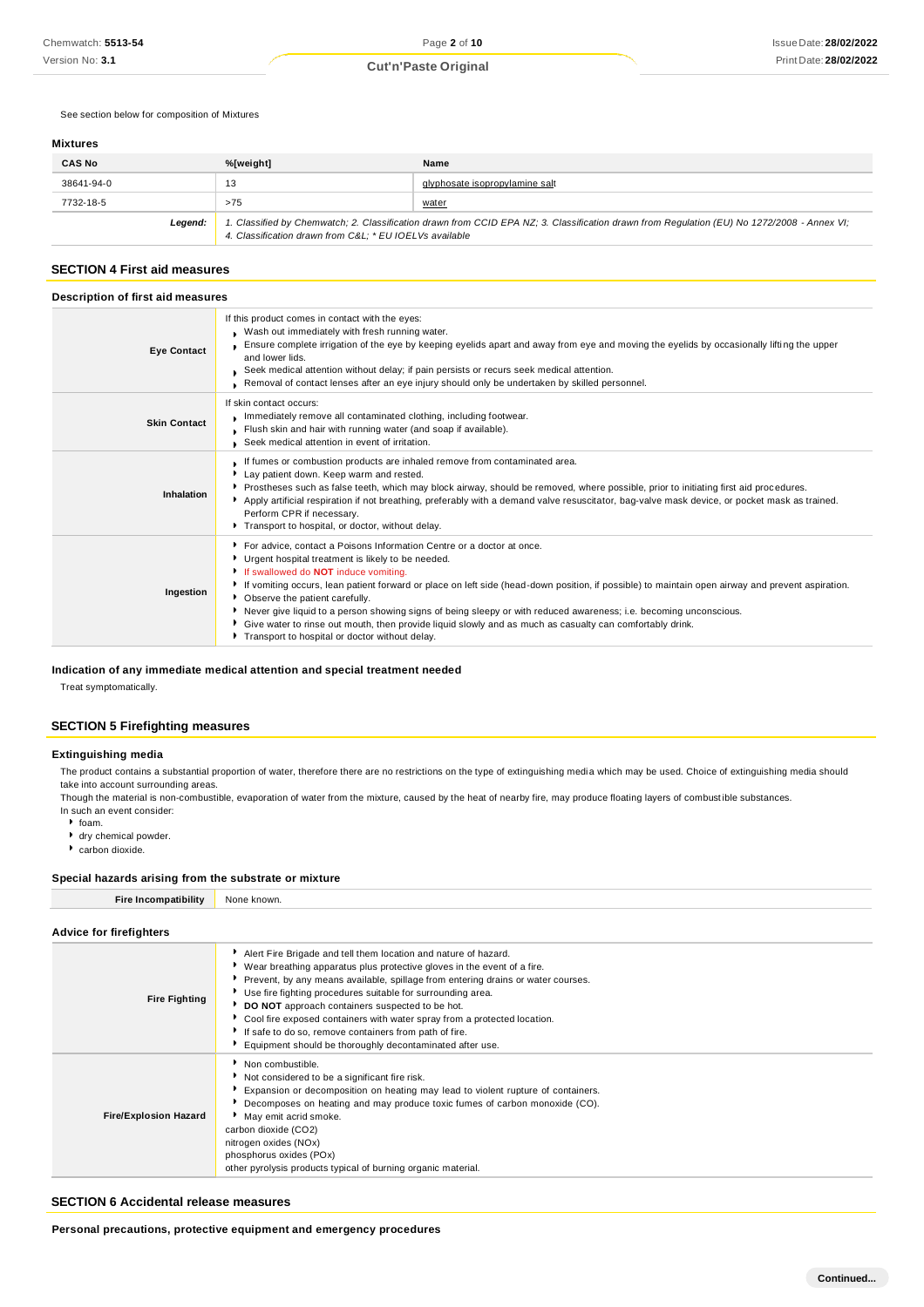#### See section below for composition of Mixtures

#### **Mixtures**

| <b>CAS No</b> | %[weight]                                                                                                                                                                                             | Name                           |
|---------------|-------------------------------------------------------------------------------------------------------------------------------------------------------------------------------------------------------|--------------------------------|
| 38641-94-0    | 13                                                                                                                                                                                                    | glyphosate isopropylamine salt |
| 7732-18-5     | >75                                                                                                                                                                                                   | <u>water</u>                   |
| Leaend:       | 1. Classified by Chemwatch; 2. Classification drawn from CCID EPA NZ; 3. Classification drawn from Requlation (EU) No 1272/2008 - Annex VI;<br>4. Classification drawn from C&L * EU IOELVs available |                                |

#### **SECTION 4 First aid measures**

| Description of first aid measures |                                                                                                                                                                                                                                                                                                                                                                                                                                                                                                                                                                                                                                                 |  |
|-----------------------------------|-------------------------------------------------------------------------------------------------------------------------------------------------------------------------------------------------------------------------------------------------------------------------------------------------------------------------------------------------------------------------------------------------------------------------------------------------------------------------------------------------------------------------------------------------------------------------------------------------------------------------------------------------|--|
| <b>Eye Contact</b>                | If this product comes in contact with the eyes:<br>Wash out immediately with fresh running water.<br>Ensure complete irrigation of the eye by keeping eyelids apart and away from eye and moving the eyelids by occasionally lifting the upper<br>and lower lids.<br>Seek medical attention without delay; if pain persists or recurs seek medical attention.<br>Removal of contact lenses after an eye injury should only be undertaken by skilled personnel.                                                                                                                                                                                  |  |
| <b>Skin Contact</b>               | If skin contact occurs:<br>Immediately remove all contaminated clothing, including footwear.<br>Flush skin and hair with running water (and soap if available).<br>Seek medical attention in event of irritation.                                                                                                                                                                                                                                                                                                                                                                                                                               |  |
| Inhalation                        | If fumes or combustion products are inhaled remove from contaminated area.<br>Lay patient down. Keep warm and rested.<br>Prostheses such as false teeth, which may block airway, should be removed, where possible, prior to initiating first aid procedures.<br>Apply artificial respiration if not breathing, preferably with a demand valve resuscitator, bag-valve mask device, or pocket mask as trained.<br>Perform CPR if necessary.<br>Transport to hospital, or doctor, without delay.                                                                                                                                                 |  |
| Ingestion                         | ▶ For advice, contact a Poisons Information Centre or a doctor at once.<br>Urgent hospital treatment is likely to be needed.<br>If swallowed do NOT induce vomiting.<br>If vomiting occurs, lean patient forward or place on left side (head-down position, if possible) to maintain open airway and prevent aspiration.<br>• Observe the patient carefully.<br>Never give liquid to a person showing signs of being sleepy or with reduced awareness; i.e. becoming unconscious.<br>Give water to rinse out mouth, then provide liquid slowly and as much as casualty can comfortably drink.<br>Transport to hospital or doctor without delay. |  |

#### **Indication of any immediate medical attention and special treatment needed**

Treat symptomatically.

## **SECTION 5 Firefighting measures**

#### **Extinguishing media**

The product contains a substantial proportion of water, therefore there are no restrictions on the type of extinguishing media which may be used. Choice of extinguishing media should take into account surrounding areas.

Though the material is non-combustible, evaporation of water from the mixture, caused by the heat of nearby fire, may produce floating layers of combust ible substances. In such an event consider:

 $•$  foam.

- 
- dry chemical powder. carbon dioxide.

#### **Special hazards arising from the substrate or mixture**

| <b>Fire Incompatibility</b>    | None known.                                                                      |  |
|--------------------------------|----------------------------------------------------------------------------------|--|
|                                |                                                                                  |  |
| <b>Advice for firefighters</b> |                                                                                  |  |
|                                | Alert Fire Brigade and tell them location and nature of hazard.                  |  |
|                                | ▶ Wear breathing apparatus plus protective gloves in the event of a fire.        |  |
|                                | Prevent, by any means available, spillage from entering drains or water courses. |  |
| <b>Fire Fighting</b>           | Use fire fighting procedures suitable for surrounding area.                      |  |
|                                | DO NOT approach containers suspected to be hot.                                  |  |

|                              | • Cool fire exposed containers with water spray from a protected location.<br>If safe to do so, remove containers from path of fire.<br>Equipment should be thoroughly decontaminated after use.                                                                                                                                         |
|------------------------------|------------------------------------------------------------------------------------------------------------------------------------------------------------------------------------------------------------------------------------------------------------------------------------------------------------------------------------------|
| <b>Fire/Explosion Hazard</b> | Non combustible.<br>Not considered to be a significant fire risk.<br>Expansion or decomposition on heating may lead to violent rupture of containers.<br>Decomposes on heating and may produce toxic fumes of carbon monoxide (CO).<br>May emit acrid smoke.<br>carbon dioxide (CO2)<br>nitrogen oxides (NOx)<br>phosphorus oxides (POx) |

other pyrolysis products typical of burning organic material.

#### **SECTION 6 Accidental release measures**

**Personal precautions, protective equipment and emergency procedures**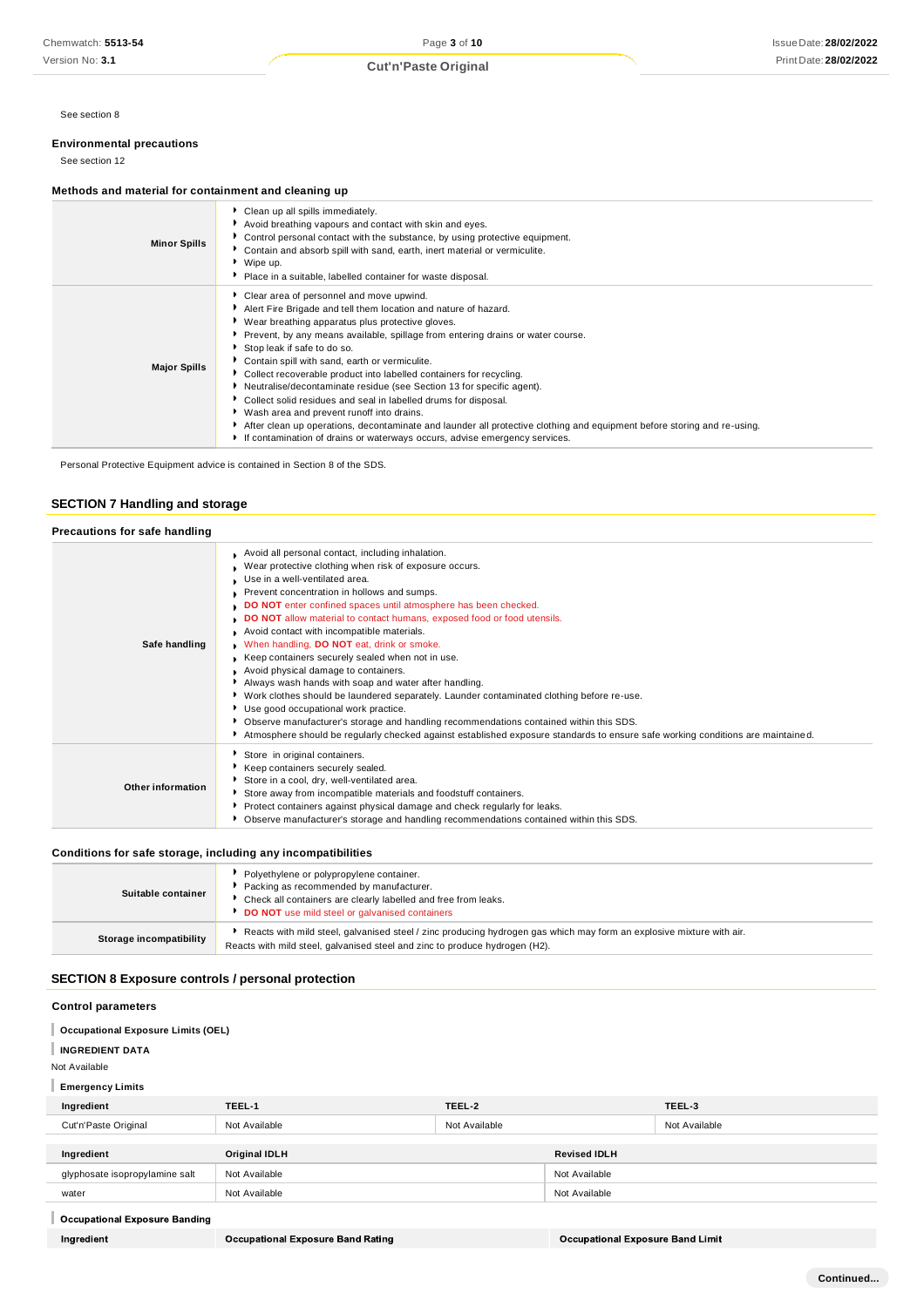See section 8

#### **Environmental precautions**

See section 12

#### **Methods and material for containment and cleaning up**

| Clean up all spills immediately.<br>Avoid breathing vapours and contact with skin and eyes.<br>• Control personal contact with the substance, by using protective equipment.<br><b>Minor Spills</b><br>Contain and absorb spill with sand, earth, inert material or vermiculite.<br>▶ Wipe up.<br>Place in a suitable, labelled container for waste disposal.<br>Clear area of personnel and move upwind.<br>Alert Fire Brigade and tell them location and nature of hazard.<br>▶ Wear breathing apparatus plus protective gloves.<br>Prevent, by any means available, spillage from entering drains or water course.<br>Stop leak if safe to do so.<br>• Contain spill with sand, earth or vermiculite.<br><b>Major Spills</b><br>Collect recoverable product into labelled containers for recycling.<br>Neutralise/decontaminate residue (see Section 13 for specific agent).<br>Collect solid residues and seal in labelled drums for disposal.<br>▶ Wash area and prevent runoff into drains.<br>After clean up operations, decontaminate and launder all protective clothing and equipment before storing and re-using. |                                                                            |
|------------------------------------------------------------------------------------------------------------------------------------------------------------------------------------------------------------------------------------------------------------------------------------------------------------------------------------------------------------------------------------------------------------------------------------------------------------------------------------------------------------------------------------------------------------------------------------------------------------------------------------------------------------------------------------------------------------------------------------------------------------------------------------------------------------------------------------------------------------------------------------------------------------------------------------------------------------------------------------------------------------------------------------------------------------------------------------------------------------------------------|----------------------------------------------------------------------------|
|                                                                                                                                                                                                                                                                                                                                                                                                                                                                                                                                                                                                                                                                                                                                                                                                                                                                                                                                                                                                                                                                                                                              |                                                                            |
|                                                                                                                                                                                                                                                                                                                                                                                                                                                                                                                                                                                                                                                                                                                                                                                                                                                                                                                                                                                                                                                                                                                              | If contamination of drains or waterways occurs, advise emergency services. |

Personal Protective Equipment advice is contained in Section 8 of the SDS.

### **SECTION 7 Handling and storage**

| Precautions for safe handling |                                                                                                                                                                                                                                                                                                                                                                                                                                                                                                                                                                                                                                                                                                                                                                                                                                                                                                                                                                   |
|-------------------------------|-------------------------------------------------------------------------------------------------------------------------------------------------------------------------------------------------------------------------------------------------------------------------------------------------------------------------------------------------------------------------------------------------------------------------------------------------------------------------------------------------------------------------------------------------------------------------------------------------------------------------------------------------------------------------------------------------------------------------------------------------------------------------------------------------------------------------------------------------------------------------------------------------------------------------------------------------------------------|
| Safe handling                 | Avoid all personal contact, including inhalation.<br>Wear protective clothing when risk of exposure occurs.<br>Use in a well-ventilated area.<br>Prevent concentration in hollows and sumps.<br>DO NOT enter confined spaces until atmosphere has been checked.<br>DO NOT allow material to contact humans, exposed food or food utensils.<br>Avoid contact with incompatible materials.<br>When handling, DO NOT eat, drink or smoke.<br>Keep containers securely sealed when not in use.<br>Avoid physical damage to containers.<br>Always wash hands with soap and water after handling.<br>▶ Work clothes should be laundered separately. Launder contaminated clothing before re-use.<br>Use good occupational work practice.<br>▶ Observe manufacturer's storage and handling recommendations contained within this SDS.<br>Atmosphere should be regularly checked against established exposure standards to ensure safe working conditions are maintained. |
| Other information             | Store in original containers.<br>Keep containers securely sealed.<br>Store in a cool, dry, well-ventilated area.<br>Store away from incompatible materials and foodstuff containers.<br>Protect containers against physical damage and check regularly for leaks.<br>▶ Observe manufacturer's storage and handling recommendations contained within this SDS.                                                                                                                                                                                                                                                                                                                                                                                                                                                                                                                                                                                                     |

#### **Conditions for safe storage, including any incompatibilities**

| Suitable container      | Polyethylene or polypropylene container.<br>Packing as recommended by manufacturer.<br>• Check all containers are clearly labelled and free from leaks.<br>DO NOT use mild steel or galvanised containers |
|-------------------------|-----------------------------------------------------------------------------------------------------------------------------------------------------------------------------------------------------------|
| Storage incompatibility | Reacts with mild steel, galvanised steel / zinc producing hydrogen gas which may form an explosive mixture with air.<br>Reacts with mild steel, galvanised steel and zinc to produce hydrogen (H2).       |

#### **SECTION 8 Exposure controls / personal protection**

#### **Control parameters**

- **Occupational Exposure Limits (OEL)**
- **INGREDIENT DATA**

Not Available

# **Emergency Limits**

| Ingredient                     | TEEL-1        | TEEL-2        |                     | TEEL-3        |
|--------------------------------|---------------|---------------|---------------------|---------------|
| Cut'n'Paste Original           | Not Available | Not Available |                     | Not Available |
|                                |               |               |                     |               |
| Ingredient                     | Original IDLH |               | <b>Revised IDLH</b> |               |
| glyphosate isopropylamine salt | Not Available |               | Not Available       |               |
| water                          | Not Available |               | Not Available       |               |
|                                |               |               |                     |               |

## Occupational Exposure Banding

Ingredient

**Occupational Exposure Band Limit**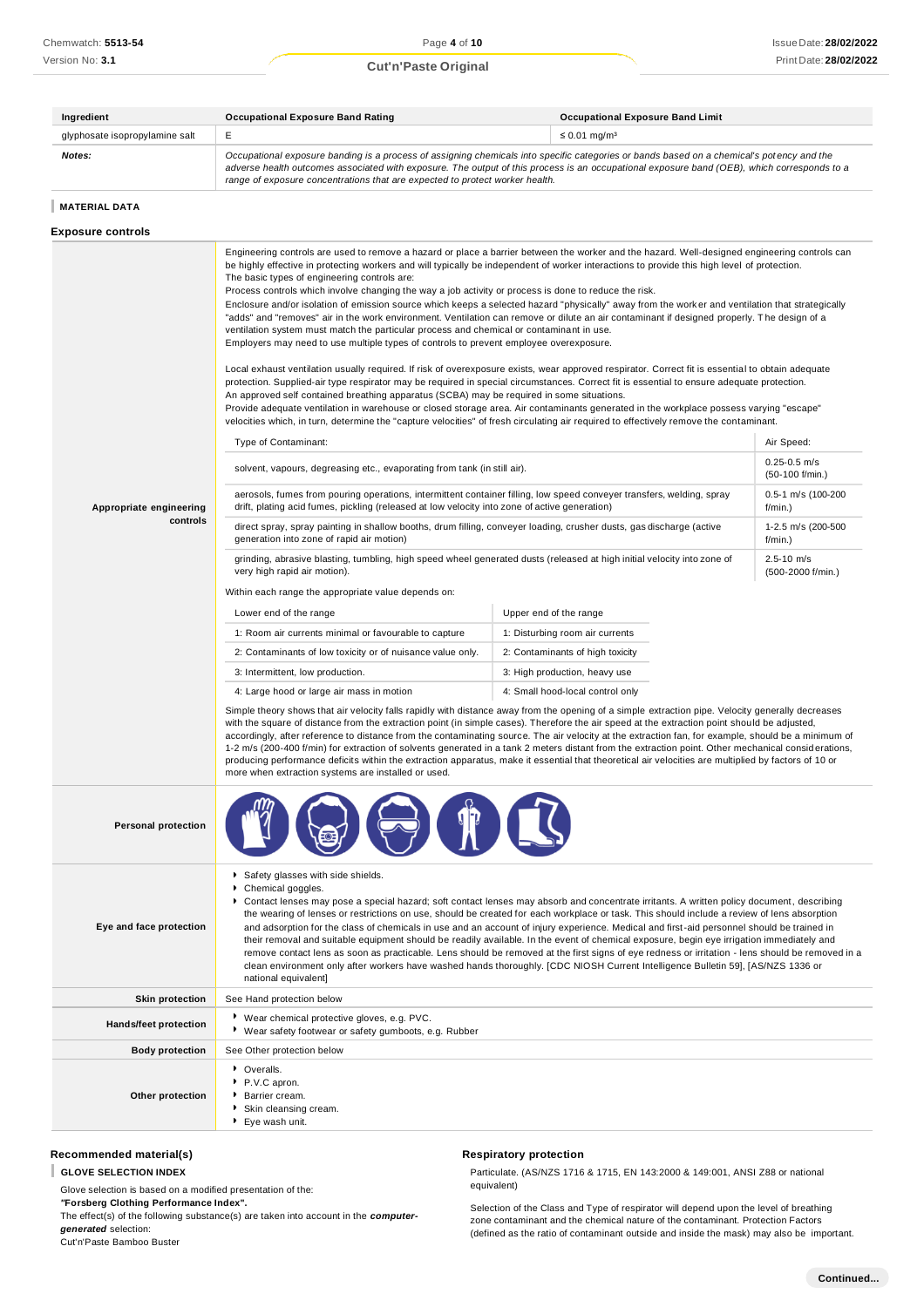# Print Date: **28/02/2022 Cut'n'Paste Original**

| Ingredient                     | Occupational Exposure Band Rating                                                                                                                                                                                                                                                                                                                                        | <b>Occupational Exposure Band Limit</b> |
|--------------------------------|--------------------------------------------------------------------------------------------------------------------------------------------------------------------------------------------------------------------------------------------------------------------------------------------------------------------------------------------------------------------------|-----------------------------------------|
| glyphosate isopropylamine salt | F.                                                                                                                                                                                                                                                                                                                                                                       | $\leq 0.01$ ma/m <sup>3</sup>           |
| <b>Notes:</b>                  | Occupational exposure banding is a process of assigning chemicals into specific categories or bands based on a chemical's potency and the<br>adverse health outcomes associated with exposure. The output of this process is an occupational exposure band (OEB), which corresponds to a<br>range of exposure concentrations that are expected to protect worker health. |                                         |

#### **MATERIAL DATA**

#### **Exposure controls**

|                              | Engineering controls are used to remove a hazard or place a barrier between the worker and the hazard. Well-designed engineering controls can<br>be highly effective in protecting workers and will typically be independent of worker interactions to provide this high level of protection.<br>The basic types of engineering controls are:<br>Process controls which involve changing the way a job activity or process is done to reduce the risk.<br>Enclosure and/or isolation of emission source which keeps a selected hazard "physically" away from the worker and ventilation that strategically<br>"adds" and "removes" air in the work environment. Ventilation can remove or dilute an air contaminant if designed properly. The design of a<br>ventilation system must match the particular process and chemical or contaminant in use.<br>Employers may need to use multiple types of controls to prevent employee overexposure.<br>Local exhaust ventilation usually required. If risk of overexposure exists, wear approved respirator. Correct fit is essential to obtain adequate<br>protection. Supplied-air type respirator may be required in special circumstances. Correct fit is essential to ensure adequate protection.<br>An approved self contained breathing apparatus (SCBA) may be required in some situations.<br>Provide adequate ventilation in warehouse or closed storage area. Air contaminants generated in the workplace possess varying "escape"<br>velocities which, in turn, determine the "capture velocities" of fresh circulating air required to effectively remove the contaminant. |                                  |                                     |  |
|------------------------------|-------------------------------------------------------------------------------------------------------------------------------------------------------------------------------------------------------------------------------------------------------------------------------------------------------------------------------------------------------------------------------------------------------------------------------------------------------------------------------------------------------------------------------------------------------------------------------------------------------------------------------------------------------------------------------------------------------------------------------------------------------------------------------------------------------------------------------------------------------------------------------------------------------------------------------------------------------------------------------------------------------------------------------------------------------------------------------------------------------------------------------------------------------------------------------------------------------------------------------------------------------------------------------------------------------------------------------------------------------------------------------------------------------------------------------------------------------------------------------------------------------------------------------------------------------------------------------------------------------------------------------------|----------------------------------|-------------------------------------|--|
|                              | Type of Contaminant:                                                                                                                                                                                                                                                                                                                                                                                                                                                                                                                                                                                                                                                                                                                                                                                                                                                                                                                                                                                                                                                                                                                                                                                                                                                                                                                                                                                                                                                                                                                                                                                                                |                                  | Air Speed:                          |  |
|                              | solvent, vapours, degreasing etc., evaporating from tank (in still air).                                                                                                                                                                                                                                                                                                                                                                                                                                                                                                                                                                                                                                                                                                                                                                                                                                                                                                                                                                                                                                                                                                                                                                                                                                                                                                                                                                                                                                                                                                                                                            |                                  | $0.25 - 0.5$ m/s<br>(50-100 f/min.) |  |
| Appropriate engineering      | aerosols, fumes from pouring operations, intermittent container filling, low speed conveyer transfers, welding, spray<br>drift, plating acid fumes, pickling (released at low velocity into zone of active generation)                                                                                                                                                                                                                                                                                                                                                                                                                                                                                                                                                                                                                                                                                                                                                                                                                                                                                                                                                                                                                                                                                                                                                                                                                                                                                                                                                                                                              |                                  | $0.5 - 1$ m/s (100-200<br>f/min.)   |  |
| controls                     | direct spray, spray painting in shallow booths, drum filling, conveyer loading, crusher dusts, gas discharge (active<br>generation into zone of rapid air motion)                                                                                                                                                                                                                                                                                                                                                                                                                                                                                                                                                                                                                                                                                                                                                                                                                                                                                                                                                                                                                                                                                                                                                                                                                                                                                                                                                                                                                                                                   |                                  | 1-2.5 m/s (200-500<br>f/min.)       |  |
|                              | grinding, abrasive blasting, tumbling, high speed wheel generated dusts (released at high initial velocity into zone of<br>very high rapid air motion).                                                                                                                                                                                                                                                                                                                                                                                                                                                                                                                                                                                                                                                                                                                                                                                                                                                                                                                                                                                                                                                                                                                                                                                                                                                                                                                                                                                                                                                                             |                                  | $2.5 - 10$ m/s<br>(500-2000 f/min.) |  |
|                              | Within each range the appropriate value depends on:                                                                                                                                                                                                                                                                                                                                                                                                                                                                                                                                                                                                                                                                                                                                                                                                                                                                                                                                                                                                                                                                                                                                                                                                                                                                                                                                                                                                                                                                                                                                                                                 |                                  |                                     |  |
|                              | Lower end of the range                                                                                                                                                                                                                                                                                                                                                                                                                                                                                                                                                                                                                                                                                                                                                                                                                                                                                                                                                                                                                                                                                                                                                                                                                                                                                                                                                                                                                                                                                                                                                                                                              | Upper end of the range           |                                     |  |
|                              | 1: Room air currents minimal or favourable to capture                                                                                                                                                                                                                                                                                                                                                                                                                                                                                                                                                                                                                                                                                                                                                                                                                                                                                                                                                                                                                                                                                                                                                                                                                                                                                                                                                                                                                                                                                                                                                                               | 1: Disturbing room air currents  |                                     |  |
|                              | 2: Contaminants of low toxicity or of nuisance value only.                                                                                                                                                                                                                                                                                                                                                                                                                                                                                                                                                                                                                                                                                                                                                                                                                                                                                                                                                                                                                                                                                                                                                                                                                                                                                                                                                                                                                                                                                                                                                                          | 2: Contaminants of high toxicity |                                     |  |
|                              | 3: Intermittent, low production.                                                                                                                                                                                                                                                                                                                                                                                                                                                                                                                                                                                                                                                                                                                                                                                                                                                                                                                                                                                                                                                                                                                                                                                                                                                                                                                                                                                                                                                                                                                                                                                                    | 3: High production, heavy use    |                                     |  |
|                              | 4: Large hood or large air mass in motion                                                                                                                                                                                                                                                                                                                                                                                                                                                                                                                                                                                                                                                                                                                                                                                                                                                                                                                                                                                                                                                                                                                                                                                                                                                                                                                                                                                                                                                                                                                                                                                           | 4: Small hood-local control only |                                     |  |
|                              | Simple theory shows that air velocity falls rapidly with distance away from the opening of a simple extraction pipe. Velocity generally decreases<br>with the square of distance from the extraction point (in simple cases). Therefore the air speed at the extraction point should be adjusted,<br>accordingly, after reference to distance from the contaminating source. The air velocity at the extraction fan, for example, should be a minimum of<br>1-2 m/s (200-400 f/min) for extraction of solvents generated in a tank 2 meters distant from the extraction point. Other mechanical considerations,<br>producing performance deficits within the extraction apparatus, make it essential that theoretical air velocities are multiplied by factors of 10 or<br>more when extraction systems are installed or used.                                                                                                                                                                                                                                                                                                                                                                                                                                                                                                                                                                                                                                                                                                                                                                                                      |                                  |                                     |  |
| <b>Personal protection</b>   |                                                                                                                                                                                                                                                                                                                                                                                                                                                                                                                                                                                                                                                                                                                                                                                                                                                                                                                                                                                                                                                                                                                                                                                                                                                                                                                                                                                                                                                                                                                                                                                                                                     |                                  |                                     |  |
| Eye and face protection      | Safety glasses with side shields.<br>Chemical goggles.<br>▶ Contact lenses may pose a special hazard; soft contact lenses may absorb and concentrate irritants. A written policy document, describing<br>the wearing of lenses or restrictions on use, should be created for each workplace or task. This should include a review of lens absorption<br>and adsorption for the class of chemicals in use and an account of injury experience. Medical and first-aid personnel should be trained in<br>their removal and suitable equipment should be readily available. In the event of chemical exposure, begin eye irrigation immediately and<br>remove contact lens as soon as practicable. Lens should be removed at the first signs of eye redness or irritation - lens should be removed in a<br>clean environment only after workers have washed hands thoroughly. [CDC NIOSH Current Intelligence Bulletin 59], [AS/NZS 1336 or<br>national equivalent]                                                                                                                                                                                                                                                                                                                                                                                                                                                                                                                                                                                                                                                                     |                                  |                                     |  |
| <b>Skin protection</b>       | See Hand protection below                                                                                                                                                                                                                                                                                                                                                                                                                                                                                                                                                                                                                                                                                                                                                                                                                                                                                                                                                                                                                                                                                                                                                                                                                                                                                                                                                                                                                                                                                                                                                                                                           |                                  |                                     |  |
| <b>Hands/feet protection</b> | Wear chemical protective gloves, e.g. PVC.<br>* Wear safety footwear or safety gumboots, e.g. Rubber                                                                                                                                                                                                                                                                                                                                                                                                                                                                                                                                                                                                                                                                                                                                                                                                                                                                                                                                                                                                                                                                                                                                                                                                                                                                                                                                                                                                                                                                                                                                |                                  |                                     |  |
| <b>Body protection</b>       | See Other protection below                                                                                                                                                                                                                                                                                                                                                                                                                                                                                                                                                                                                                                                                                                                                                                                                                                                                                                                                                                                                                                                                                                                                                                                                                                                                                                                                                                                                                                                                                                                                                                                                          |                                  |                                     |  |
| Other protection             | • Overalls.<br>P.V.C apron.<br>Barrier cream.<br>Skin cleansing cream.<br>Eye wash unit.                                                                                                                                                                                                                                                                                                                                                                                                                                                                                                                                                                                                                                                                                                                                                                                                                                                                                                                                                                                                                                                                                                                                                                                                                                                                                                                                                                                                                                                                                                                                            |                                  |                                     |  |

#### **Recommended material(s)**

**GLOVE SELECTION INDEX**

Glove selection is based on a modified presentation of the: *"***Forsberg Clothing Performance Index".**

The effect(s) of the following substance(s) are taken into account in the *computergenerated* selection:

Cut'n'Paste Bamboo Buster

#### **Respiratory protection**

Particulate. (AS/NZS 1716 & 1715, EN 143:2000 & 149:001, ANSI Z88 or national equivalent)

Selection of the Class and Type of respirator will depend upon the level of breathing zone contaminant and the chemical nature of the contaminant. Protection Factors (defined as the ratio of contaminant outside and inside the mask) may also be important.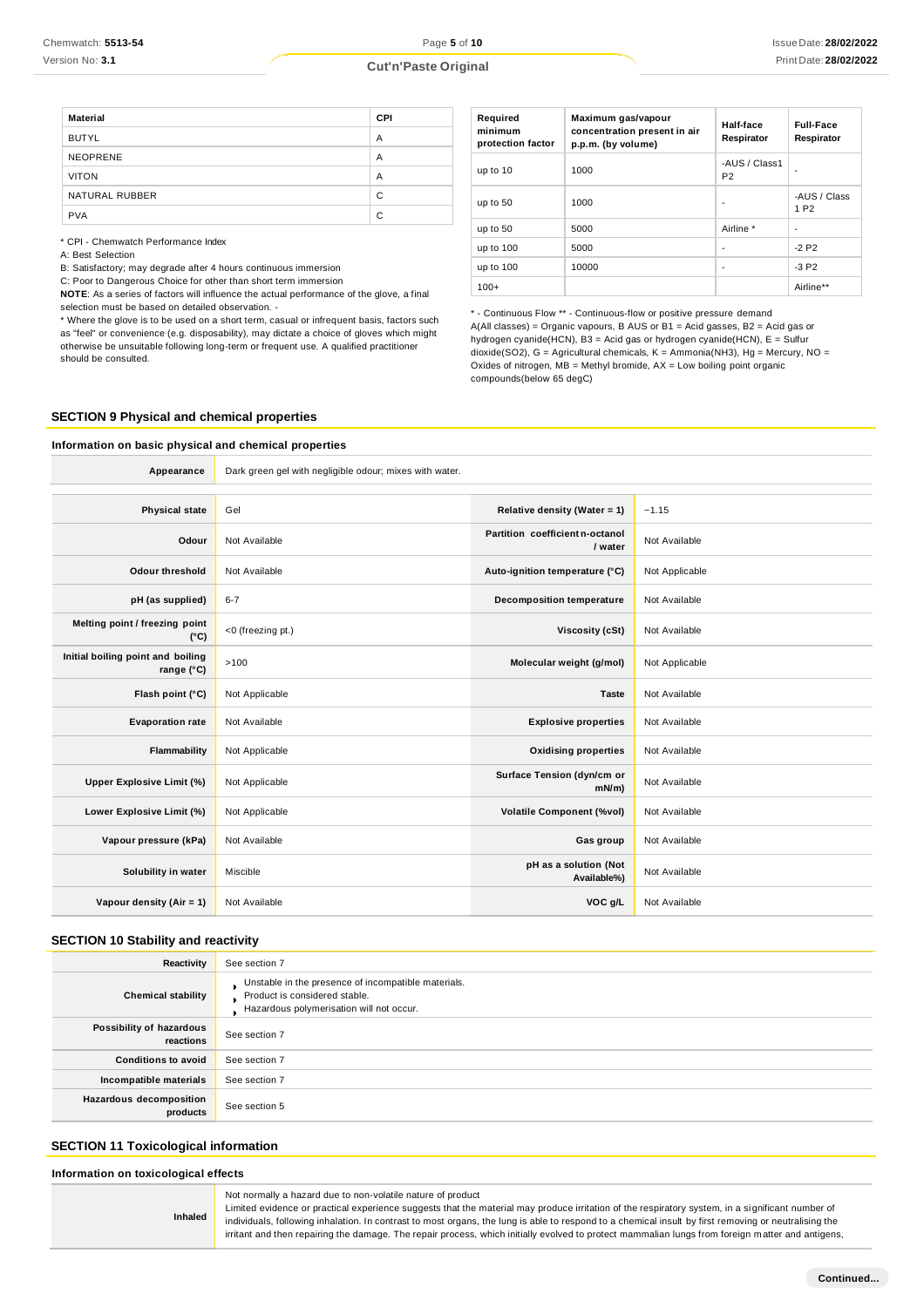| <b>Cut'n'Paste Original</b> | Print Date: 28/02/2022 |
|-----------------------------|------------------------|
|                             |                        |

| <b>Material</b> | CPI |
|-----------------|-----|
| <b>BUTYL</b>    | A   |
| <b>NEOPRENE</b> | A   |
| <b>VITON</b>    | A   |
| NATURAL RUBBER  | C   |
| <b>PVA</b>      | C   |

\* CPI - Chemwatch Performance Index

A: Best Selection

B: Satisfactory; may degrade after 4 hours continuous immersion

C: Poor to Dangerous Choice for other than short term immersion

**NOTE**: As a series of factors will influence the actual performance of the glove, a final selection must be based on detailed observation. -

\* Where the glove is to be used on a short term, casual or infrequent basis, factors such as "feel" or convenience (e.g. disposability), may dictate a choice of gloves which might otherwise be unsuitable following long-term or frequent use. A qualified practitioner should be consulted.

| Required<br>minimum<br>protection factor | Maximum gas/vapour<br>concentration present in air<br>p.p.m. (by volume) | Half-face<br>Respirator         | <b>Full-Face</b><br>Respirator   |
|------------------------------------------|--------------------------------------------------------------------------|---------------------------------|----------------------------------|
| up to 10                                 | 1000                                                                     | -AUS / Class1<br>P <sub>2</sub> |                                  |
| up to 50                                 | 1000                                                                     | ٠                               | -AUS / Class<br>1 P <sub>2</sub> |
| up to 50                                 | 5000                                                                     | Airline *                       | ٠                                |
| up to 100                                | 5000                                                                     | ٠                               | $-2P2$                           |
| up to 100                                | 10000                                                                    | -                               | $-3P2$                           |
| $100+$                                   |                                                                          |                                 | Airline**                        |

- Continuous Flow \*\* - Continuous-flow or positive pressure demand A(All classes) = Organic vapours, B AUS or B1 = Acid gasses, B2 = Acid gas or hydrogen cyanide(HCN), B3 = Acid gas or hydrogen cyanide(HCN), E = Sulfur dioxide(SO2), G = Agricultural chemicals, K = Ammonia(NH3), Hg = Mercury, NO = Oxides of nitrogen,  $MB =$  Methyl bromide,  $AX =$  Low boiling point organic compounds(below 65 degC)

#### **SECTION 9 Physical and chemical properties**

# **Information on basic physical and chemical properties Appearance** Dark green gel with negligible odour; mixes with water. **Physical state** Gel **Relative density (Water = 1)** ~1.15 **Odour** Not Available **Partition coefficient n-octanol**<br> **Partition coefficient n-octanol / water** Not Available **Odour threshold** Not Available **Auto-ignition temperature (°C)** Not Applicable **pH (as supplied)** 6-7 **Decomposition temperature** Not Available **Melting point / freezing point (°C)** <0 (freezing pt.) **Viscosity (cSt)** Not Available **Initial boiling point and boiling range** (°C)  $\begin{bmatrix} >100 \end{bmatrix}$  >100 **Molecular weight (g/mol)** Not Applicable **Flash point (°C)** Not Applicable **Taste** Not Available **Evaporation rate** Not Available **Explosive properties** Not Available **Flammability** Not Applicable **Contains a later of the Contains Contains a Contains Properties** Not Available **Upper Explosive Limit (%)** Not Applicable **Surface Tension (dyn/cm or Not Available Lower Explosive Limit (%)** Not Applicable **Volatile Component (%vol)** Not Available **Vapour pressure (kPa)** Not Available **Gas group** Not Available **Gas group** Not Available **Solubility in water** Miscible **pH** as a solution **(Not**<br>Available%) **pH** as a solution **(Not Not Available Vapour density (Air = 1)** Not Available **VOC g/L** Not Available

#### **SECTION 10 Stability and reactivity**

| Reactivity                                 | See section 7                                                                                                                    |
|--------------------------------------------|----------------------------------------------------------------------------------------------------------------------------------|
| <b>Chemical stability</b>                  | Unstable in the presence of incompatible materials.<br>Product is considered stable.<br>Hazardous polymerisation will not occur. |
| Possibility of hazardous<br>reactions      | See section 7                                                                                                                    |
| <b>Conditions to avoid</b>                 | See section 7                                                                                                                    |
| Incompatible materials                     | See section 7                                                                                                                    |
| <b>Hazardous decomposition</b><br>products | See section 5                                                                                                                    |

#### **SECTION 11 Toxicological information**

**Inhaled**

**Information on toxicological effects**

Not normally a hazard due to non-volatile nature of product

Limited evidence or practical experience suggests that the material may produce irritation of the respiratory system, in a si gnificant number of individuals, following inhalation. In contrast to most organs, the lung is able to respond to a chemical insult by first removing or neutralising the irritant and then repairing the damage. The repair process, which initially evolved to protect mammalian lungs from foreign m atter and antigens,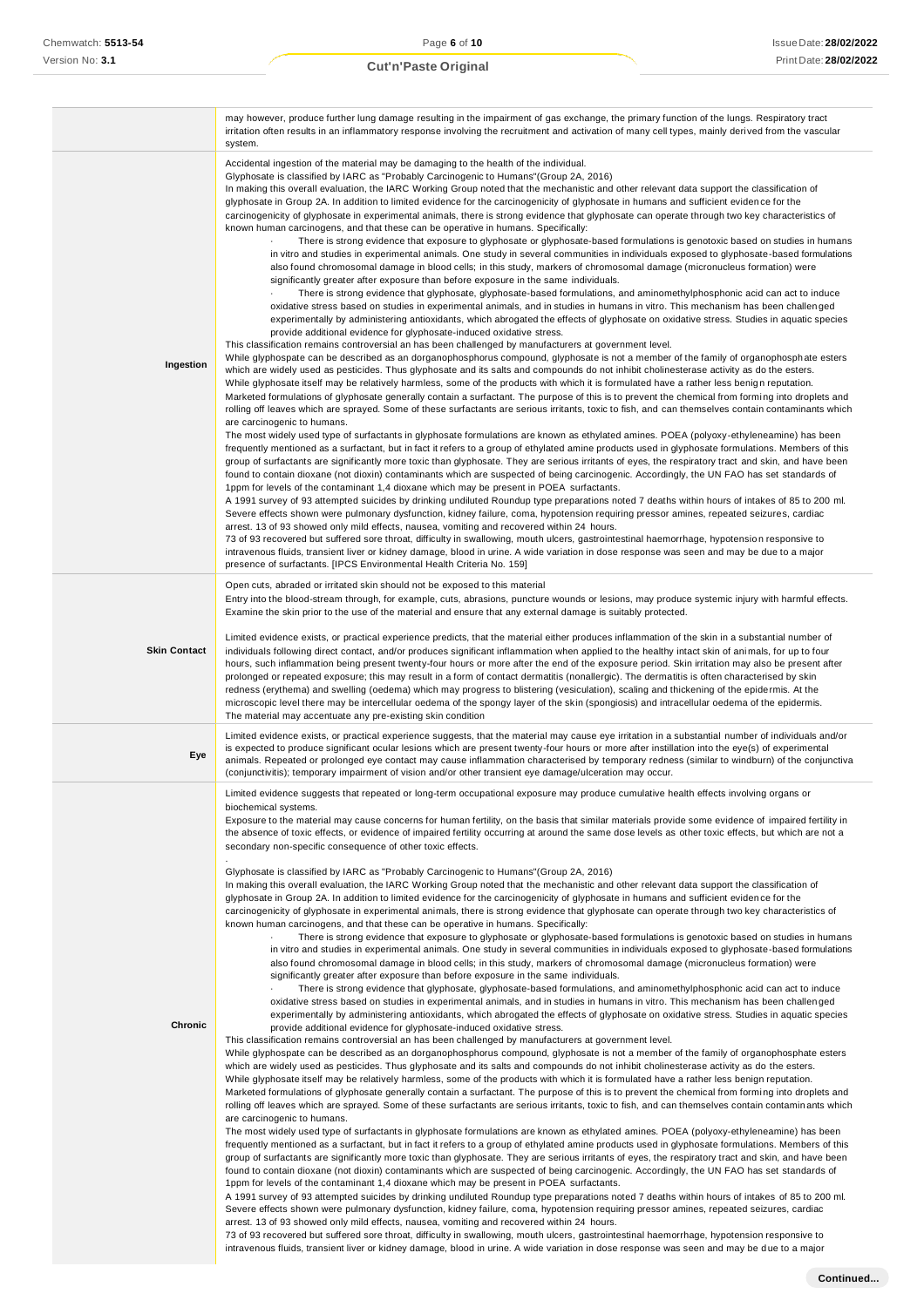|                     | may however, produce further lung damage resulting in the impairment of gas exchange, the primary function of the lungs. Respiratory tract<br>irritation often results in an inflammatory response involving the recruitment and activation of many cell types, mainly derived from the vascular<br>system.                                                                                                                                                                                                                                                                                                                                                                                                                                                                                                                                                                                                                                                                                                                                                                                                                                                                                                                                                                                                                                                                                                                                                                                                                                                                                                                                                                                                                                                                                                                                                                                                                                                                                                                                                                                                                                                                                                                                                                                                                                                                                                                                                                                                                                                                                                                                                                                                                                                                                                                                                                                                                                                                                                                                                                                                                                                                                                                                                                                                                                                                                                                                                                                                                                                                                                                                                                                                                                                                                                                                                                                                                                                                                                                                                                                                                                                                                                                                                                                                                                                                                                                                   |
|---------------------|-----------------------------------------------------------------------------------------------------------------------------------------------------------------------------------------------------------------------------------------------------------------------------------------------------------------------------------------------------------------------------------------------------------------------------------------------------------------------------------------------------------------------------------------------------------------------------------------------------------------------------------------------------------------------------------------------------------------------------------------------------------------------------------------------------------------------------------------------------------------------------------------------------------------------------------------------------------------------------------------------------------------------------------------------------------------------------------------------------------------------------------------------------------------------------------------------------------------------------------------------------------------------------------------------------------------------------------------------------------------------------------------------------------------------------------------------------------------------------------------------------------------------------------------------------------------------------------------------------------------------------------------------------------------------------------------------------------------------------------------------------------------------------------------------------------------------------------------------------------------------------------------------------------------------------------------------------------------------------------------------------------------------------------------------------------------------------------------------------------------------------------------------------------------------------------------------------------------------------------------------------------------------------------------------------------------------------------------------------------------------------------------------------------------------------------------------------------------------------------------------------------------------------------------------------------------------------------------------------------------------------------------------------------------------------------------------------------------------------------------------------------------------------------------------------------------------------------------------------------------------------------------------------------------------------------------------------------------------------------------------------------------------------------------------------------------------------------------------------------------------------------------------------------------------------------------------------------------------------------------------------------------------------------------------------------------------------------------------------------------------------------------------------------------------------------------------------------------------------------------------------------------------------------------------------------------------------------------------------------------------------------------------------------------------------------------------------------------------------------------------------------------------------------------------------------------------------------------------------------------------------------------------------------------------------------------------------------------------------------------------------------------------------------------------------------------------------------------------------------------------------------------------------------------------------------------------------------------------------------------------------------------------------------------------------------------------------------------------------------------------------------------------------------------------------------------------|
| Ingestion           | Accidental ingestion of the material may be damaging to the health of the individual.<br>Glyphosate is classified by IARC as "Probably Carcinogenic to Humans" (Group 2A, 2016)<br>In making this overall evaluation, the IARC Working Group noted that the mechanistic and other relevant data support the classification of<br>glyphosate in Group 2A. In addition to limited evidence for the carcinogenicity of glyphosate in humans and sufficient eviden ce for the<br>carcinogenicity of glyphosate in experimental animals, there is strong evidence that glyphosate can operate through two key characteristics of<br>known human carcinogens, and that these can be operative in humans. Specifically:<br>There is strong evidence that exposure to glyphosate or glyphosate-based formulations is genotoxic based on studies in humans<br>in vitro and studies in experimental animals. One study in several communities in individuals exposed to glyphosate-based formulations<br>also found chromosomal damage in blood cells; in this study, markers of chromosomal damage (micronucleus formation) were<br>significantly greater after exposure than before exposure in the same individuals.<br>There is strong evidence that glyphosate, glyphosate-based formulations, and aminomethylphosphonic acid can act to induce<br>oxidative stress based on studies in experimental animals, and in studies in humans in vitro. This mechanism has been challenged<br>experimentally by administering antioxidants, which abrogated the effects of glyphosate on oxidative stress. Studies in aquatic species<br>provide additional evidence for glyphosate-induced oxidative stress.<br>This classification remains controversial an has been challenged by manufacturers at government level.<br>While glyphospate can be described as an dorganophosphorus compound, glyphosate is not a member of the family of organophosphate esters<br>which are widely used as pesticides. Thus glyphosate and its salts and compounds do not inhibit cholinesterase activity as do the esters.<br>While glyphosate itself may be relatively harmless, some of the products with which it is formulated have a rather less benign reputation.<br>Marketed formulations of glyphosate generally contain a surfactant. The purpose of this is to prevent the chemical from forming into droplets and<br>rolling off leaves which are sprayed. Some of these surfactants are serious irritants, toxic to fish, and can themselves contain contaminants which<br>are carcinogenic to humans.<br>The most widely used type of surfactants in glyphosate formulations are known as ethylated amines. POEA (polyoxy-ethyleneamine) has been<br>frequently mentioned as a surfactant, but in fact it refers to a group of ethylated amine products used in glyphosate formulations. Members of this<br>group of surfactants are significantly more toxic than glyphosate. They are serious irritants of eyes, the respiratory tract and skin, and have been<br>found to contain dioxane (not dioxin) contaminants which are suspected of being carcinogenic. Accordingly, the UN FAO has set standards of<br>1ppm for levels of the contaminant 1,4 dioxane which may be present in POEA surfactants.<br>A 1991 survey of 93 attempted suicides by drinking undiluted Roundup type preparations noted 7 deaths within hours of intakes of 85 to 200 ml.<br>Severe effects shown were pulmonary dysfunction, kidney failure, coma, hypotension requiring pressor amines, repeated seizures, cardiac<br>arrest. 13 of 93 showed only mild effects, nausea, vomiting and recovered within 24 hours.<br>73 of 93 recovered but suffered sore throat, difficulty in swallowing, mouth ulcers, gastrointestinal haemorrhage, hypotension responsive to<br>intravenous fluids, transient liver or kidney damage, blood in urine. A wide variation in dose response was seen and may be due to a major<br>presence of surfactants. [IPCS Environmental Health Criteria No. 159]                                                                                                                                                                                                                                                                                                                                                                           |
| <b>Skin Contact</b> | Open cuts, abraded or irritated skin should not be exposed to this material<br>Entry into the blood-stream through, for example, cuts, abrasions, puncture wounds or lesions, may produce systemic injury with harmful effects.<br>Examine the skin prior to the use of the material and ensure that any external damage is suitably protected.<br>Limited evidence exists, or practical experience predicts, that the material either produces inflammation of the skin in a substantial number of<br>individuals following direct contact, and/or produces significant inflammation when applied to the healthy intact skin of animals, for up to four<br>hours, such inflammation being present twenty-four hours or more after the end of the exposure period. Skin irritation may also be present after<br>prolonged or repeated exposure; this may result in a form of contact dermatitis (nonallergic). The dermatitis is often characterised by skin<br>redness (erythema) and swelling (oedema) which may progress to blistering (vesiculation), scaling and thickening of the epidermis. At the<br>microscopic level there may be intercellular oedema of the spongy layer of the skin (spongiosis) and intracellular oedema of the epidermis.<br>The material may accentuate any pre-existing skin condition                                                                                                                                                                                                                                                                                                                                                                                                                                                                                                                                                                                                                                                                                                                                                                                                                                                                                                                                                                                                                                                                                                                                                                                                                                                                                                                                                                                                                                                                                                                                                                                                                                                                                                                                                                                                                                                                                                                                                                                                                                                                                                                                                                                                                                                                                                                                                                                                                                                                                                                                                                                                                                                                                                                                                                                                                                                                                                                                                                                                                                                                                                                       |
| Eye                 | Limited evidence exists, or practical experience suggests, that the material may cause eye irritation in a substantial number of individuals and/or<br>is expected to produce significant ocular lesions which are present twenty-four hours or more after instillation into the eye(s) of experimental<br>animals. Repeated or prolonged eye contact may cause inflammation characterised by temporary redness (similar to windburn) of the conjunctiva<br>(conjunctivitis); temporary impairment of vision and/or other transient eye damage/ulceration may occur.                                                                                                                                                                                                                                                                                                                                                                                                                                                                                                                                                                                                                                                                                                                                                                                                                                                                                                                                                                                                                                                                                                                                                                                                                                                                                                                                                                                                                                                                                                                                                                                                                                                                                                                                                                                                                                                                                                                                                                                                                                                                                                                                                                                                                                                                                                                                                                                                                                                                                                                                                                                                                                                                                                                                                                                                                                                                                                                                                                                                                                                                                                                                                                                                                                                                                                                                                                                                                                                                                                                                                                                                                                                                                                                                                                                                                                                                          |
| Chronic             | Limited evidence suggests that repeated or long-term occupational exposure may produce cumulative health effects involving organs or<br>biochemical systems.<br>Exposure to the material may cause concerns for human fertility, on the basis that similar materials provide some evidence of impaired fertility in<br>the absence of toxic effects, or evidence of impaired fertility occurring at around the same dose levels as other toxic effects, but which are not a<br>secondary non-specific consequence of other toxic effects.<br>Glyphosate is classified by IARC as "Probably Carcinogenic to Humans" (Group 2A, 2016)<br>In making this overall evaluation, the IARC Working Group noted that the mechanistic and other relevant data support the classification of<br>glyphosate in Group 2A. In addition to limited evidence for the carcinogenicity of glyphosate in humans and sufficient evidence for the<br>carcinogenicity of glyphosate in experimental animals, there is strong evidence that glyphosate can operate through two key characteristics of<br>known human carcinogens, and that these can be operative in humans. Specifically:<br>There is strong evidence that exposure to glyphosate or glyphosate-based formulations is genotoxic based on studies in humans<br>in vitro and studies in experimental animals. One study in several communities in individuals exposed to glyphosate-based formulations<br>also found chromosomal damage in blood cells; in this study, markers of chromosomal damage (micronucleus formation) were<br>significantly greater after exposure than before exposure in the same individuals.<br>There is strong evidence that glyphosate, glyphosate-based formulations, and aminomethylphosphonic acid can act to induce<br>oxidative stress based on studies in experimental animals, and in studies in humans in vitro. This mechanism has been challenged<br>experimentally by administering antioxidants, which abrogated the effects of glyphosate on oxidative stress. Studies in aquatic species<br>provide additional evidence for glyphosate-induced oxidative stress.<br>This classification remains controversial an has been challenged by manufacturers at government level.<br>While glyphospate can be described as an dorganophosphorus compound, glyphosate is not a member of the family of organophosphate esters<br>which are widely used as pesticides. Thus glyphosate and its salts and compounds do not inhibit cholinesterase activity as do the esters.<br>While glyphosate itself may be relatively harmless, some of the products with which it is formulated have a rather less benign reputation.<br>Marketed formulations of glyphosate generally contain a surfactant. The purpose of this is to prevent the chemical from forming into droplets and<br>rolling off leaves which are sprayed. Some of these surfactants are serious irritants, toxic to fish, and can themselves contain contaminants which<br>are carcinogenic to humans.<br>The most widely used type of surfactants in glyphosate formulations are known as ethylated amines. POEA (polyoxy-ethyleneamine) has been<br>frequently mentioned as a surfactant, but in fact it refers to a group of ethylated amine products used in glyphosate formulations. Members of this<br>group of surfactants are significantly more toxic than glyphosate. They are serious irritants of eyes, the respiratory tract and skin, and have been<br>found to contain dioxane (not dioxin) contaminants which are suspected of being carcinogenic. Accordingly, the UN FAO has set standards of<br>1ppm for levels of the contaminant 1,4 dioxane which may be present in POEA surfactants.<br>A 1991 survey of 93 attempted suicides by drinking undiluted Roundup type preparations noted 7 deaths within hours of intakes of 85 to 200 ml.<br>Severe effects shown were pulmonary dysfunction, kidney failure, coma, hypotension requiring pressor amines, repeated seizures, cardiac<br>arrest. 13 of 93 showed only mild effects, nausea, vomiting and recovered within 24 hours.<br>73 of 93 recovered but suffered sore throat, difficulty in swallowing, mouth ulcers, gastrointestinal haemorrhage, hypotension responsive to<br>intravenous fluids, transient liver or kidney damage, blood in urine. A wide variation in dose response was seen and may be due to a major |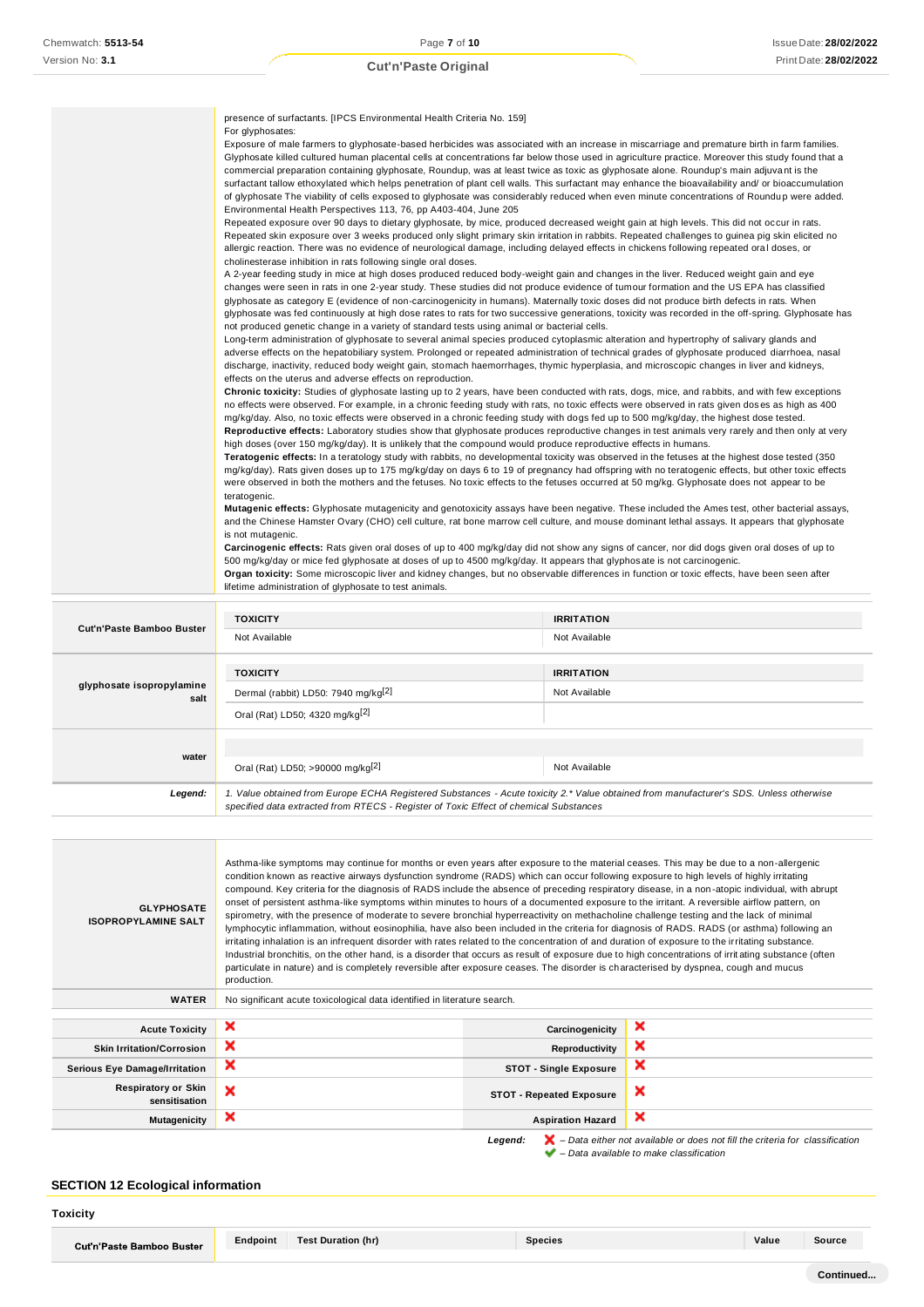|                                  | presence of surfactants. [IPCS Environmental Health Criteria No. 159]                                                                                                                                                                                                                                                                                                                                                                                                                                                                                                                                                                                                                                                                                                                                                                                                                                                                                                                                                                                                                                                                                                                                                                                                                                                                                                                                                                                                                                                                                                                                                                                                                                                                                                                                                                                                                                                                                                                                                                                                                                                                                                                                                                                                                                                                                                                                                                                                                                                                                                                                                                                                                                                                                                                                                                                                                                                                                                                                                                                                                                                                                                                                                                                                                                                                                                                                                                                                                   |                                                                                                                                                                                                                                                                                                                                                                                                                                                                                                                                                                                                                                                                                                                                                 |  |
|----------------------------------|-----------------------------------------------------------------------------------------------------------------------------------------------------------------------------------------------------------------------------------------------------------------------------------------------------------------------------------------------------------------------------------------------------------------------------------------------------------------------------------------------------------------------------------------------------------------------------------------------------------------------------------------------------------------------------------------------------------------------------------------------------------------------------------------------------------------------------------------------------------------------------------------------------------------------------------------------------------------------------------------------------------------------------------------------------------------------------------------------------------------------------------------------------------------------------------------------------------------------------------------------------------------------------------------------------------------------------------------------------------------------------------------------------------------------------------------------------------------------------------------------------------------------------------------------------------------------------------------------------------------------------------------------------------------------------------------------------------------------------------------------------------------------------------------------------------------------------------------------------------------------------------------------------------------------------------------------------------------------------------------------------------------------------------------------------------------------------------------------------------------------------------------------------------------------------------------------------------------------------------------------------------------------------------------------------------------------------------------------------------------------------------------------------------------------------------------------------------------------------------------------------------------------------------------------------------------------------------------------------------------------------------------------------------------------------------------------------------------------------------------------------------------------------------------------------------------------------------------------------------------------------------------------------------------------------------------------------------------------------------------------------------------------------------------------------------------------------------------------------------------------------------------------------------------------------------------------------------------------------------------------------------------------------------------------------------------------------------------------------------------------------------------------------------------------------------------------------------------------------------------|-------------------------------------------------------------------------------------------------------------------------------------------------------------------------------------------------------------------------------------------------------------------------------------------------------------------------------------------------------------------------------------------------------------------------------------------------------------------------------------------------------------------------------------------------------------------------------------------------------------------------------------------------------------------------------------------------------------------------------------------------|--|
|                                  | For glyphosates:                                                                                                                                                                                                                                                                                                                                                                                                                                                                                                                                                                                                                                                                                                                                                                                                                                                                                                                                                                                                                                                                                                                                                                                                                                                                                                                                                                                                                                                                                                                                                                                                                                                                                                                                                                                                                                                                                                                                                                                                                                                                                                                                                                                                                                                                                                                                                                                                                                                                                                                                                                                                                                                                                                                                                                                                                                                                                                                                                                                                                                                                                                                                                                                                                                                                                                                                                                                                                                                                        |                                                                                                                                                                                                                                                                                                                                                                                                                                                                                                                                                                                                                                                                                                                                                 |  |
|                                  | Environmental Health Perspectives 113, 76, pp A403-404, June 205                                                                                                                                                                                                                                                                                                                                                                                                                                                                                                                                                                                                                                                                                                                                                                                                                                                                                                                                                                                                                                                                                                                                                                                                                                                                                                                                                                                                                                                                                                                                                                                                                                                                                                                                                                                                                                                                                                                                                                                                                                                                                                                                                                                                                                                                                                                                                                                                                                                                                                                                                                                                                                                                                                                                                                                                                                                                                                                                                                                                                                                                                                                                                                                                                                                                                                                                                                                                                        | Exposure of male farmers to glyphosate-based herbicides was associated with an increase in miscarriage and premature birth in farm families.<br>Glyphosate killed cultured human placental cells at concentrations far below those used in agriculture practice. Moreover this study found that a<br>commercial preparation containing glyphosate, Roundup, was at least twice as toxic as glyphosate alone. Roundup's main adjuvant is the<br>surfactant tallow ethoxylated which helps penetration of plant cell walls. This surfactant may enhance the bioavailability and/ or bioaccumulation<br>of glyphosate The viability of cells exposed to glyphosate was considerably reduced when even minute concentrations of Roundup were added. |  |
|                                  | Repeated exposure over 90 days to dietary glyphosate, by mice, produced decreased weight gain at high levels. This did not occur in rats.<br>Repeated skin exposure over 3 weeks produced only slight primary skin irritation in rabbits. Repeated challenges to guinea pig skin elicited no<br>allergic reaction. There was no evidence of neurological damage, including delayed effects in chickens following repeated oral doses, or<br>cholinesterase inhibition in rats following single oral doses.<br>A 2-year feeding study in mice at high doses produced reduced body-weight gain and changes in the liver. Reduced weight gain and eye<br>changes were seen in rats in one 2-year study. These studies did not produce evidence of tumour formation and the US EPA has classified<br>glyphosate as category E (evidence of non-carcinogenicity in humans). Maternally toxic doses did not produce birth defects in rats. When<br>glyphosate was fed continuously at high dose rates to rats for two successive generations, toxicity was recorded in the off-spring. Glyphosate has<br>not produced genetic change in a variety of standard tests using animal or bacterial cells.<br>Long-term administration of glyphosate to several animal species produced cytoplasmic alteration and hypertrophy of salivary glands and<br>adverse effects on the hepatobiliary system. Prolonged or repeated administration of technical grades of glyphosate produced diarrhoea, nasal<br>discharge, inactivity, reduced body weight gain, stomach haemorrhages, thymic hyperplasia, and microscopic changes in liver and kidneys,<br>effects on the uterus and adverse effects on reproduction.<br>Chronic toxicity: Studies of glyphosate lasting up to 2 years, have been conducted with rats, dogs, mice, and rabbits, and with few exceptions<br>no effects were observed. For example, in a chronic feeding study with rats, no toxic effects were observed in rats given doses as high as 400<br>mg/kg/day. Also, no toxic effects were observed in a chronic feeding study with dogs fed up to 500 mg/kg/day, the highest dose tested.<br>Reproductive effects: Laboratory studies show that glyphosate produces reproductive changes in test animals very rarely and then only at very<br>high doses (over 150 mg/kg/day). It is unlikely that the compound would produce reproductive effects in humans.<br>Teratogenic effects: In a teratology study with rabbits, no developmental toxicity was observed in the fetuses at the highest dose tested (350<br>mg/kg/day). Rats given doses up to 175 mg/kg/day on days 6 to 19 of pregnancy had offspring with no teratogenic effects, but other toxic effects<br>were observed in both the mothers and the fetuses. No toxic effects to the fetuses occurred at 50 mg/kg. Glyphosate does not appear to be<br>teratogenic.<br>Mutagenic effects: Glyphosate mutagenicity and genotoxicity assays have been negative. These included the Ames test, other bacterial assays,<br>and the Chinese Hamster Ovary (CHO) cell culture, rat bone marrow cell culture, and mouse dominant lethal assays. It appears that glyphosate<br>is not mutagenic.<br>Carcinogenic effects: Rats given oral doses of up to 400 mg/kg/day did not show any signs of cancer, nor did dogs given oral doses of up to<br>500 mg/kg/day or mice fed glyphosate at doses of up to 4500 mg/kg/day. It appears that glyphosate is not carcinogenic. |                                                                                                                                                                                                                                                                                                                                                                                                                                                                                                                                                                                                                                                                                                                                                 |  |
|                                  |                                                                                                                                                                                                                                                                                                                                                                                                                                                                                                                                                                                                                                                                                                                                                                                                                                                                                                                                                                                                                                                                                                                                                                                                                                                                                                                                                                                                                                                                                                                                                                                                                                                                                                                                                                                                                                                                                                                                                                                                                                                                                                                                                                                                                                                                                                                                                                                                                                                                                                                                                                                                                                                                                                                                                                                                                                                                                                                                                                                                                                                                                                                                                                                                                                                                                                                                                                                                                                                                                         |                                                                                                                                                                                                                                                                                                                                                                                                                                                                                                                                                                                                                                                                                                                                                 |  |
|                                  |                                                                                                                                                                                                                                                                                                                                                                                                                                                                                                                                                                                                                                                                                                                                                                                                                                                                                                                                                                                                                                                                                                                                                                                                                                                                                                                                                                                                                                                                                                                                                                                                                                                                                                                                                                                                                                                                                                                                                                                                                                                                                                                                                                                                                                                                                                                                                                                                                                                                                                                                                                                                                                                                                                                                                                                                                                                                                                                                                                                                                                                                                                                                                                                                                                                                                                                                                                                                                                                                                         |                                                                                                                                                                                                                                                                                                                                                                                                                                                                                                                                                                                                                                                                                                                                                 |  |
|                                  |                                                                                                                                                                                                                                                                                                                                                                                                                                                                                                                                                                                                                                                                                                                                                                                                                                                                                                                                                                                                                                                                                                                                                                                                                                                                                                                                                                                                                                                                                                                                                                                                                                                                                                                                                                                                                                                                                                                                                                                                                                                                                                                                                                                                                                                                                                                                                                                                                                                                                                                                                                                                                                                                                                                                                                                                                                                                                                                                                                                                                                                                                                                                                                                                                                                                                                                                                                                                                                                                                         |                                                                                                                                                                                                                                                                                                                                                                                                                                                                                                                                                                                                                                                                                                                                                 |  |
|                                  |                                                                                                                                                                                                                                                                                                                                                                                                                                                                                                                                                                                                                                                                                                                                                                                                                                                                                                                                                                                                                                                                                                                                                                                                                                                                                                                                                                                                                                                                                                                                                                                                                                                                                                                                                                                                                                                                                                                                                                                                                                                                                                                                                                                                                                                                                                                                                                                                                                                                                                                                                                                                                                                                                                                                                                                                                                                                                                                                                                                                                                                                                                                                                                                                                                                                                                                                                                                                                                                                                         |                                                                                                                                                                                                                                                                                                                                                                                                                                                                                                                                                                                                                                                                                                                                                 |  |
|                                  |                                                                                                                                                                                                                                                                                                                                                                                                                                                                                                                                                                                                                                                                                                                                                                                                                                                                                                                                                                                                                                                                                                                                                                                                                                                                                                                                                                                                                                                                                                                                                                                                                                                                                                                                                                                                                                                                                                                                                                                                                                                                                                                                                                                                                                                                                                                                                                                                                                                                                                                                                                                                                                                                                                                                                                                                                                                                                                                                                                                                                                                                                                                                                                                                                                                                                                                                                                                                                                                                                         |                                                                                                                                                                                                                                                                                                                                                                                                                                                                                                                                                                                                                                                                                                                                                 |  |
|                                  |                                                                                                                                                                                                                                                                                                                                                                                                                                                                                                                                                                                                                                                                                                                                                                                                                                                                                                                                                                                                                                                                                                                                                                                                                                                                                                                                                                                                                                                                                                                                                                                                                                                                                                                                                                                                                                                                                                                                                                                                                                                                                                                                                                                                                                                                                                                                                                                                                                                                                                                                                                                                                                                                                                                                                                                                                                                                                                                                                                                                                                                                                                                                                                                                                                                                                                                                                                                                                                                                                         |                                                                                                                                                                                                                                                                                                                                                                                                                                                                                                                                                                                                                                                                                                                                                 |  |
|                                  | lifetime administration of glyphosate to test animals.                                                                                                                                                                                                                                                                                                                                                                                                                                                                                                                                                                                                                                                                                                                                                                                                                                                                                                                                                                                                                                                                                                                                                                                                                                                                                                                                                                                                                                                                                                                                                                                                                                                                                                                                                                                                                                                                                                                                                                                                                                                                                                                                                                                                                                                                                                                                                                                                                                                                                                                                                                                                                                                                                                                                                                                                                                                                                                                                                                                                                                                                                                                                                                                                                                                                                                                                                                                                                                  | Organ toxicity: Some microscopic liver and kidney changes, but no observable differences in function or toxic effects, have been seen after                                                                                                                                                                                                                                                                                                                                                                                                                                                                                                                                                                                                     |  |
| <b>Cut'n'Paste Bamboo Buster</b> | <b>TOXICITY</b>                                                                                                                                                                                                                                                                                                                                                                                                                                                                                                                                                                                                                                                                                                                                                                                                                                                                                                                                                                                                                                                                                                                                                                                                                                                                                                                                                                                                                                                                                                                                                                                                                                                                                                                                                                                                                                                                                                                                                                                                                                                                                                                                                                                                                                                                                                                                                                                                                                                                                                                                                                                                                                                                                                                                                                                                                                                                                                                                                                                                                                                                                                                                                                                                                                                                                                                                                                                                                                                                         | <b>IRRITATION</b>                                                                                                                                                                                                                                                                                                                                                                                                                                                                                                                                                                                                                                                                                                                               |  |
|                                  | Not Available                                                                                                                                                                                                                                                                                                                                                                                                                                                                                                                                                                                                                                                                                                                                                                                                                                                                                                                                                                                                                                                                                                                                                                                                                                                                                                                                                                                                                                                                                                                                                                                                                                                                                                                                                                                                                                                                                                                                                                                                                                                                                                                                                                                                                                                                                                                                                                                                                                                                                                                                                                                                                                                                                                                                                                                                                                                                                                                                                                                                                                                                                                                                                                                                                                                                                                                                                                                                                                                                           | Not Available                                                                                                                                                                                                                                                                                                                                                                                                                                                                                                                                                                                                                                                                                                                                   |  |
|                                  |                                                                                                                                                                                                                                                                                                                                                                                                                                                                                                                                                                                                                                                                                                                                                                                                                                                                                                                                                                                                                                                                                                                                                                                                                                                                                                                                                                                                                                                                                                                                                                                                                                                                                                                                                                                                                                                                                                                                                                                                                                                                                                                                                                                                                                                                                                                                                                                                                                                                                                                                                                                                                                                                                                                                                                                                                                                                                                                                                                                                                                                                                                                                                                                                                                                                                                                                                                                                                                                                                         |                                                                                                                                                                                                                                                                                                                                                                                                                                                                                                                                                                                                                                                                                                                                                 |  |

| glyphosate isopropylamine<br>salt | <b>TOXICITY</b><br>Dermal (rabbit) LD50: 7940 mg/kg <sup>[2]</sup><br>Oral (Rat) LD50; 4320 mg/kg <sup>[2]</sup>                                                                                                                | <b>IRRITATION</b><br>Not Available |
|-----------------------------------|---------------------------------------------------------------------------------------------------------------------------------------------------------------------------------------------------------------------------------|------------------------------------|
| water                             | Oral (Rat) LD50; >90000 mg/kg <sup>[2]</sup>                                                                                                                                                                                    | Not Available                      |
| Legend:                           | 1. Value obtained from Europe ECHA Registered Substances - Acute toxicity 2.* Value obtained from manufacturer's SDS. Unless otherwise<br>specified data extracted from RTECS - Register of Toxic Effect of chemical Substances |                                    |

| <b>GLYPHOSATE</b><br><b>ISOPROPYLAMINE SALT</b> | Asthma-like symptoms may continue for months or even years after exposure to the material ceases. This may be due to a non-allergenic<br>condition known as reactive airways dysfunction syndrome (RADS) which can occur following exposure to high levels of highly irritating<br>compound. Key criteria for the diagnosis of RADS include the absence of preceding respiratory disease, in a non-atopic individual, with abrupt<br>onset of persistent asthma-like symptoms within minutes to hours of a documented exposure to the irritant. A reversible airflow pattern, on<br>spirometry, with the presence of moderate to severe bronchial hyperreactivity on methacholine challenge testing and the lack of minimal<br>lymphocytic inflammation, without eosinophilia, have also been included in the criteria for diagnosis of RADS. RADS (or asthma) following an<br>irritating inhalation is an infrequent disorder with rates related to the concentration of and duration of exposure to the irritating substance.<br>Industrial bronchitis, on the other hand, is a disorder that occurs as result of exposure due to high concentrations of irritating substance (often<br>particulate in nature) and is completely reversible after exposure ceases. The disorder is characterised by dyspnea, cough and mucus<br>production. |                                                                                                    |  |
|-------------------------------------------------|-----------------------------------------------------------------------------------------------------------------------------------------------------------------------------------------------------------------------------------------------------------------------------------------------------------------------------------------------------------------------------------------------------------------------------------------------------------------------------------------------------------------------------------------------------------------------------------------------------------------------------------------------------------------------------------------------------------------------------------------------------------------------------------------------------------------------------------------------------------------------------------------------------------------------------------------------------------------------------------------------------------------------------------------------------------------------------------------------------------------------------------------------------------------------------------------------------------------------------------------------------------------------------------------------------------------------------------------------|----------------------------------------------------------------------------------------------------|--|
| <b>WATER</b>                                    | No significant acute toxicological data identified in literature search.                                                                                                                                                                                                                                                                                                                                                                                                                                                                                                                                                                                                                                                                                                                                                                                                                                                                                                                                                                                                                                                                                                                                                                                                                                                                      |                                                                                                    |  |
| <b>Acute Toxicity</b>                           | ×<br>Carcinogenicity                                                                                                                                                                                                                                                                                                                                                                                                                                                                                                                                                                                                                                                                                                                                                                                                                                                                                                                                                                                                                                                                                                                                                                                                                                                                                                                          | ×                                                                                                  |  |
| <b>Skin Irritation/Corrosion</b>                | ×<br>Reproductivity                                                                                                                                                                                                                                                                                                                                                                                                                                                                                                                                                                                                                                                                                                                                                                                                                                                                                                                                                                                                                                                                                                                                                                                                                                                                                                                           | ×                                                                                                  |  |
| <b>Serious Eye Damage/Irritation</b>            | ×<br><b>STOT - Single Exposure</b>                                                                                                                                                                                                                                                                                                                                                                                                                                                                                                                                                                                                                                                                                                                                                                                                                                                                                                                                                                                                                                                                                                                                                                                                                                                                                                            | ×                                                                                                  |  |
| <b>Respiratory or Skin</b><br>sensitisation     | ×<br><b>STOT - Repeated Exposure</b>                                                                                                                                                                                                                                                                                                                                                                                                                                                                                                                                                                                                                                                                                                                                                                                                                                                                                                                                                                                                                                                                                                                                                                                                                                                                                                          | ×                                                                                                  |  |
| Mutagenicity                                    | ×<br><b>Aspiration Hazard</b>                                                                                                                                                                                                                                                                                                                                                                                                                                                                                                                                                                                                                                                                                                                                                                                                                                                                                                                                                                                                                                                                                                                                                                                                                                                                                                                 | ×                                                                                                  |  |
|                                                 | Legend:                                                                                                                                                                                                                                                                                                                                                                                                                                                                                                                                                                                                                                                                                                                                                                                                                                                                                                                                                                                                                                                                                                                                                                                                                                                                                                                                       | $\blacktriangleright$ – Data either not available or does not fill the criteria for classification |  |

# *– Data available to make classification*

## **SECTION 12 Ecological information**

**Toxicity**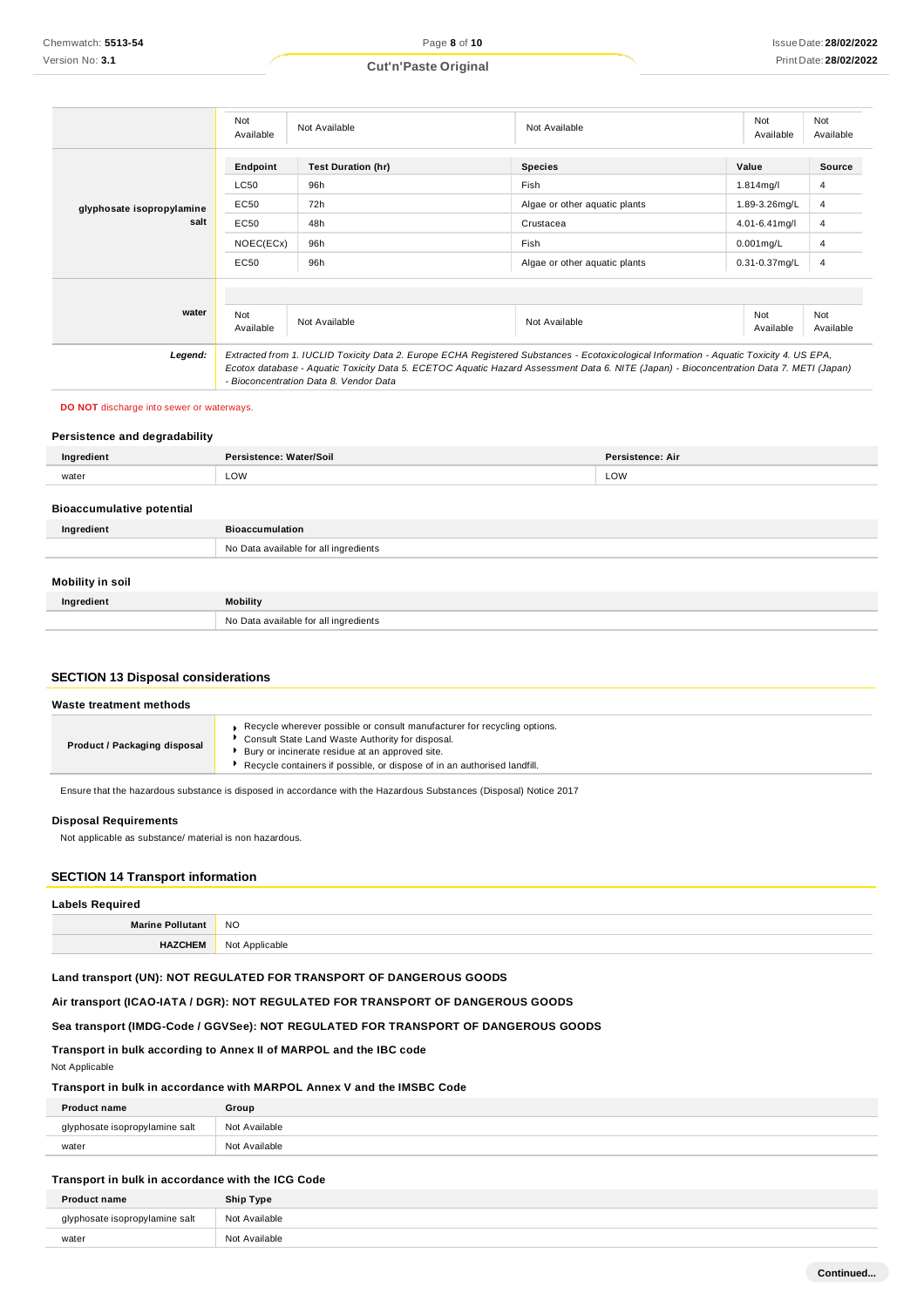#### Not<br>Available Available Not Available Not Available Not Available Not Available **Endpoint Test Duration (hr) Species Value Source** LC50 96h Fish 1.814mg/l 4 **glyphosate isopropylamine salt** EC50 EC50 72h 48h Algae or other aquatic plants Crustacea 1.89-3.26mg/L 4.01-6.41mg/l 4 4 NOEC(ECx) 96h Fish 0.001mg/L 4 EC50 96h Algae or other aquatic plants 0.31-0.37mg/L 4 **water** Not Available Not Available Not Available Not Available Not Available *Legend: Extracted from 1. IUCLID Toxicity Data 2. Europe ECHA Registered Substances - Ecotoxicological Information - Aquatic Toxicity 4. US EPA, Ecotox database - Aquatic Toxicity Data 5. ECETOC Aquatic Hazard Assessment Data 6. NITE (Japan) - Bioconcentration Data 7. METI (Japan) - Bioconcentration Data 8. Vendor Data*

**DO NOT** discharge into sewer or waterways.

#### **Persistence and degradability**

| Ingredient                       | Persistence: Water/Soil               | Persistence: Air |
|----------------------------------|---------------------------------------|------------------|
| water                            | LOW                                   | LOW              |
| <b>Bioaccumulative potential</b> |                                       |                  |
| Ingredient                       | <b>Bioaccumulation</b>                |                  |
|                                  | No Data available for all ingredients |                  |

### **Mobility in soil**

| Ingredient | <b>Mobility</b>                       |
|------------|---------------------------------------|
|            | No Data available for all ingredients |

#### **SECTION 13 Disposal considerations**

| Waste treatment methods      |                                                                                                                                                                                                                                                             |
|------------------------------|-------------------------------------------------------------------------------------------------------------------------------------------------------------------------------------------------------------------------------------------------------------|
| Product / Packaging disposal | Recycle wherever possible or consult manufacturer for recycling options.<br>Consult State Land Waste Authority for disposal.<br>Bury or incinerate residue at an approved site.<br>Recycle containers if possible, or dispose of in an authorised landfill. |

Ensure that the hazardous substance is disposed in accordance with the Hazardous Substances (Disposal) Notice 2017

#### **Disposal Requirements**

Not applicable as substance/ material is non hazardous.

#### **SECTION 14 Transport information**

| <b>Labels Required</b>  |                |
|-------------------------|----------------|
| <b>Marine Pollutant</b> | <b>NO</b>      |
| <b>HAZCHEM</b>          | Not Applicable |

#### **Land transport (UN): NOT REGULATED FOR TRANSPORT OF DANGEROUS GOODS**

**Air transport (ICAO-IATA / DGR): NOT REGULATED FOR TRANSPORT OF DANGEROUS GOODS**

**Sea transport (IMDG-Code / GGVSee): NOT REGULATED FOR TRANSPORT OF DANGEROUS GOODS**

#### **Transport in bulk according to Annex II of MARPOL and the IBC code**

Not Applicable

#### **Transport in bulk in accordance with MARPOL Annex V and the IMSBC Code**

| <b>Product name</b>       | Group         |
|---------------------------|---------------|
| osate isopropylamine salt | Not Available |
| water                     | Not Available |

#### **Transport in bulk in accordance with the ICG Code**

| <b>Product name</b>            | Ship Type     |
|--------------------------------|---------------|
| glyphosate isopropylamine salt | Not Available |
| water                          | Not Available |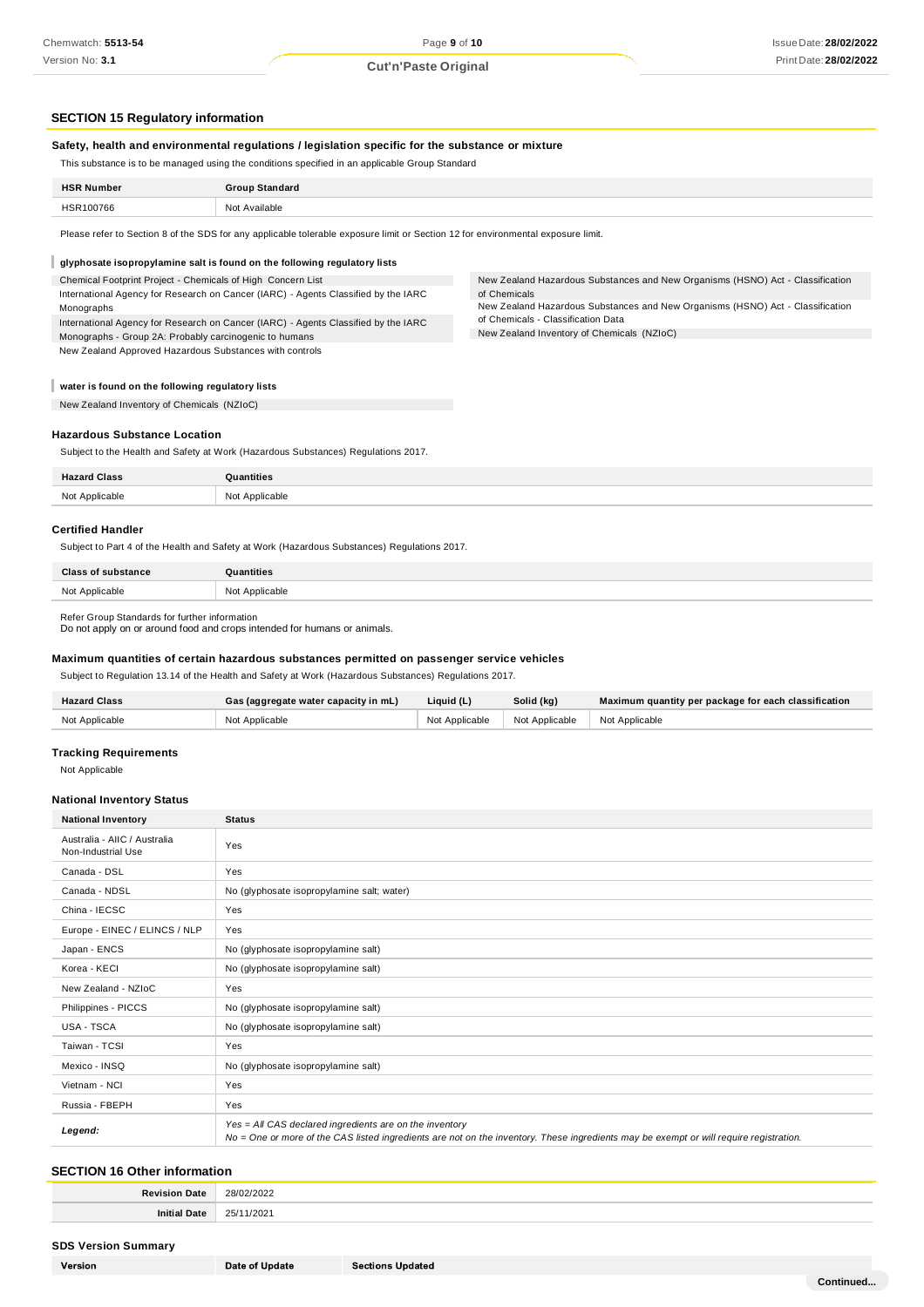#### **SECTION 15 Regulatory information**

#### **Safety, health and environmental regulations / legislation specific for the substance or mixture**

This substance is to be managed using the conditions specified in an applicable Group Standard

| <b>HSR Number</b> | <b>Group Standard</b> |
|-------------------|-----------------------|
| HSR100766         | Not Available         |
|                   |                       |

Please refer to Section 8 of the SDS for any applicable tolerable exposure limit or Section 12 for environmental exposure limit.

#### I **glyphosate isopropylamine salt is found on the following regulatory lists**

International Agency for Research on Cancer (IARC) - Agents Classified by the IARC Chemical Footprint Project - Chemicals of High Concern List International Agency for Research on Cancer (IARC) - Agents Classified by the IARC Monographs

Monographs - Group 2A: Probably carcinogenic to humans New Zealand Approved Hazardous Substances with controls New Zealand Hazardous Substances and New Organisms (HSNO) Act - Classification of Chemicals

New Zealand Hazardous Substances and New Organisms (HSNO) Act - Classification of Chemicals - Classification Data

New Zealand Inventory of Chemicals (NZIoC)

#### **water is found on the following regulatory lists**

New Zealand Inventory of Chemicals (NZIoC)

#### **Hazardous Substance Location**

Subject to the Health and Safety at Work (Hazardous Substances) Regulations 2017.

| $-122225$<br>юы |          |
|-----------------|----------|
| <b>Mat</b>      | Annluc   |
| Annlicable      | $-$ nhic |

#### **Certified Handler**

Subject to Part 4 of the Health and Safety at Work (Hazardous Substances) Regulations 2017.

| <b>Class of substance</b> | Quantities     |
|---------------------------|----------------|
| Not Applicable            | Not Applicable |

Refer Group Standards for further information

Do not apply on or around food and crops intended for humans or animals.

#### **Maximum quantities of certain hazardous substances permitted on passenger service vehicles**

Subject to Regulation 13.14 of the Health and Safety at Work (Hazardous Substances) Regulations 2017.

| <b>Hazard Class</b> | Gas (aggregate water capacity in mL) | Liquid (L)     | Solid (kg)     | Maximum quantity per package for each classification |
|---------------------|--------------------------------------|----------------|----------------|------------------------------------------------------|
| Not Applicable      | Not Applicable                       | Not Applicable | Not Applicable | I Not Applicable                                     |

#### **Tracking Requirements**

Not Applicable

#### **National Inventory Status**

| <b>National Inventory</b>                          | <b>Status</b>                                                                                                                                                                                     |
|----------------------------------------------------|---------------------------------------------------------------------------------------------------------------------------------------------------------------------------------------------------|
| Australia - AIIC / Australia<br>Non-Industrial Use | Yes                                                                                                                                                                                               |
| Canada - DSL                                       | Yes                                                                                                                                                                                               |
| Canada - NDSL                                      | No (glyphosate isopropylamine salt; water)                                                                                                                                                        |
| China - IECSC                                      | Yes                                                                                                                                                                                               |
| Europe - EINEC / ELINCS / NLP                      | Yes                                                                                                                                                                                               |
| Japan - ENCS                                       | No (glyphosate isopropylamine salt)                                                                                                                                                               |
| Korea - KECI                                       | No (glyphosate isopropylamine salt)                                                                                                                                                               |
| New Zealand - NZIoC                                | Yes                                                                                                                                                                                               |
| Philippines - PICCS                                | No (glyphosate isopropylamine salt)                                                                                                                                                               |
| <b>USA - TSCA</b>                                  | No (glyphosate isopropylamine salt)                                                                                                                                                               |
| Taiwan - TCSI                                      | Yes                                                                                                                                                                                               |
| Mexico - INSQ                                      | No (glyphosate isopropylamine salt)                                                                                                                                                               |
| Vietnam - NCI                                      | Yes                                                                                                                                                                                               |
| Russia - FBEPH                                     | Yes                                                                                                                                                                                               |
| Legend:                                            | Yes = All CAS declared ingredients are on the inventory<br>No = One or more of the CAS listed ingredients are not on the inventory. These ingredients may be exempt or will require registration. |

#### **SECTION 16 Other information**

| Date<br>Revision | 28/02/2022<br>.<br>__ |
|------------------|-----------------------|
| Initi<br>Date    | 251'<br>/2021<br>دے   |

#### **SDS Version Summary**

| Version |
|---------|